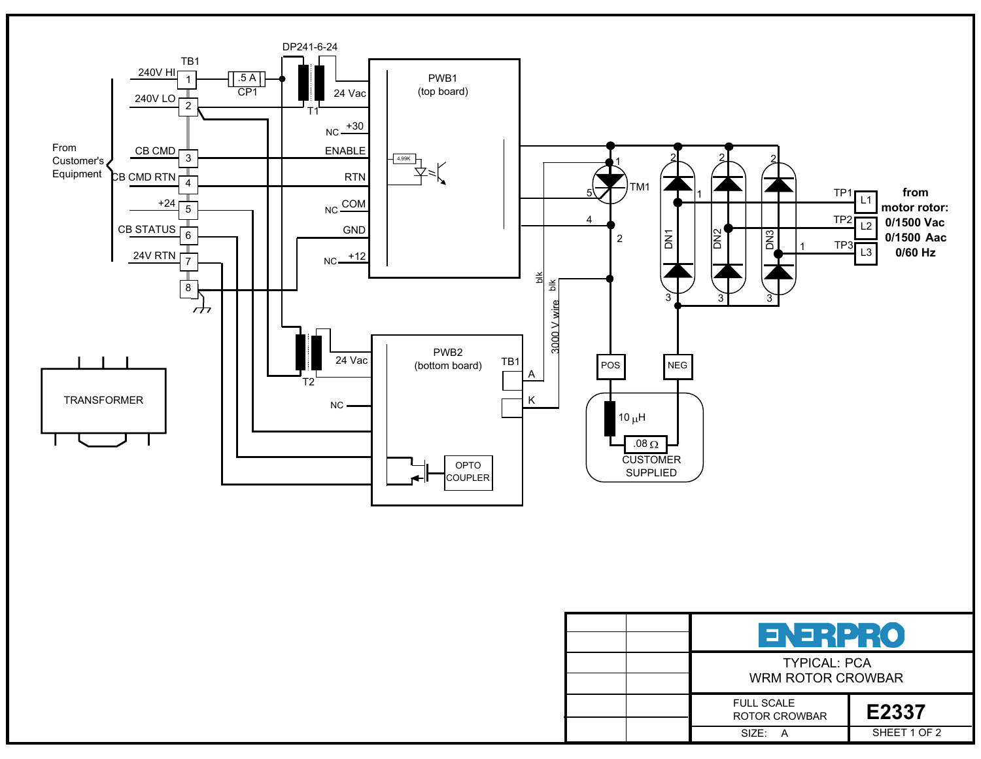